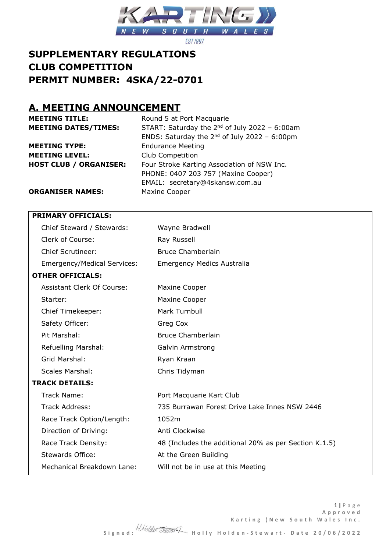

# **SUPPLEMENTARY REGULATIONS CLUB COMPETITION PERMIT NUMBER: 4SKA/22-0701**

## **A. MEETING ANNOUNCEMENT**

| <b>MEETING TITLE:</b>         | Round 5 at Port Macquarie                          |
|-------------------------------|----------------------------------------------------|
| <b>MEETING DATES/TIMES:</b>   | START: Saturday the $2^{nd}$ of July 2022 - 6:00am |
|                               | ENDS: Saturday the $2^{nd}$ of July 2022 - 6:00pm  |
| <b>MEETING TYPE:</b>          | <b>Endurance Meeting</b>                           |
| <b>MEETING LEVEL:</b>         | Club Competition                                   |
| <b>HOST CLUB / ORGANISER:</b> | Four Stroke Karting Association of NSW Inc.        |
|                               | PHONE: 0407 203 757 (Maxine Cooper)                |
|                               | EMAIL: secretary@4skansw.com.au                    |
| <b>ORGANISER NAMES:</b>       | Maxine Cooper                                      |

### **PRIMARY OFFICIALS:**

|                         | Chief Steward / Stewards:          | Wayne Bradwell                                        |
|-------------------------|------------------------------------|-------------------------------------------------------|
|                         | Clerk of Course:                   | Ray Russell                                           |
|                         | <b>Chief Scrutineer:</b>           | <b>Bruce Chamberlain</b>                              |
|                         | <b>Emergency/Medical Services:</b> | <b>Emergency Medics Australia</b>                     |
| <b>OTHER OFFICIALS:</b> |                                    |                                                       |
|                         | Assistant Clerk Of Course:         | Maxine Cooper                                         |
| Starter:                |                                    | Maxine Cooper                                         |
|                         | Chief Timekeeper:                  | Mark Turnbull                                         |
| Safety Officer:         |                                    | Greg Cox                                              |
| Pit Marshal:            |                                    | <b>Bruce Chamberlain</b>                              |
|                         | Refuelling Marshal:                | Galvin Armstrong                                      |
| Grid Marshal:           |                                    | Ryan Kraan                                            |
| <b>Scales Marshal:</b>  |                                    | Chris Tidyman                                         |
| <b>TRACK DETAILS:</b>   |                                    |                                                       |
| Track Name:             |                                    | Port Macquarie Kart Club                              |
| <b>Track Address:</b>   |                                    | 735 Burrawan Forest Drive Lake Innes NSW 2446         |
|                         | Race Track Option/Length:          | 1052m                                                 |
|                         | Direction of Driving:              | Anti Clockwise                                        |
|                         | Race Track Density:                | 48 (Includes the additional 20% as per Section K.1.5) |
|                         | Stewards Office:                   | At the Green Building                                 |
|                         | Mechanical Breakdown Lane:         | Will not be in use at this Meeting                    |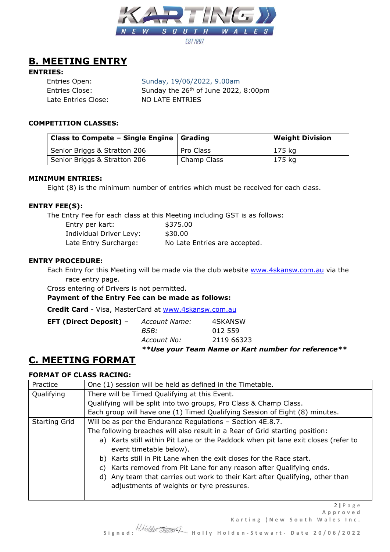

## **B. MEETING ENTRY**

### **ENTRIES:**

 Entries Open: Sunday, 19/06/2022, 9.00am Entries Close: Sunday the 26<sup>th</sup> of June 2022, 8:00pm Late Entries Close: NO LATE ENTRIES

### **COMPETITION CLASSES:**

| Class to Compete – Single Engine $ $ Grading |             | <b>Weight Division</b> |
|----------------------------------------------|-------------|------------------------|
| Senior Briggs & Stratton 206                 | Pro Class   | 175 kg                 |
| Senior Briggs & Stratton 206                 | Champ Class | 175 kg                 |

#### **MINIMUM ENTRIES:**

Eight (8) is the minimum number of entries which must be received for each class.

### **ENTRY FEE(S):**

The Entry Fee for each class at this Meeting including GST is as follows:

| Entry per kart:         | \$375.00                      |
|-------------------------|-------------------------------|
| Individual Driver Levy: | \$30.00                       |
| Late Entry Surcharge:   | No Late Entries are accepted. |

#### **ENTRY PROCEDURE:**

Each Entry for this Meeting will be made via the club website [www.4skansw.com.au](http://www.4skansw.com.au/) via the race entry page.

Cross entering of Drivers is not permitted.

**Payment of the Entry Fee can be made as follows:**

**Credit Card** - Visa, MasterCard at [www.4skansw.com.au](http://www.4skansw.com.au/)

| <b>EFT (Direct Deposit)</b> $-$ | Account Name: | 4SKANSW    |
|---------------------------------|---------------|------------|
|                                 | BSB:          | 012 559    |
|                                 | Account No:   | 2119 66323 |
|                                 |               |            |

*\*\*Use your Team Name or Kart number for reference\*\**

## **C. MEETING FORMAT**

## **FORMAT OF CLASS RACING:**

| Practice      | One (1) session will be held as defined in the Timetable.                                                                 |  |  |  |
|---------------|---------------------------------------------------------------------------------------------------------------------------|--|--|--|
| Qualifying    | There will be Timed Qualifying at this Event.                                                                             |  |  |  |
|               | Qualifying will be split into two groups, Pro Class & Champ Class.                                                        |  |  |  |
|               | Each group will have one (1) Timed Qualifying Session of Eight (8) minutes.                                               |  |  |  |
| Starting Grid | Will be as per the Endurance Regulations - Section 4E.8.7.                                                                |  |  |  |
|               | The following breaches will also result in a Rear of Grid starting position:                                              |  |  |  |
|               | a) Karts still within Pit Lane or the Paddock when pit lane exit closes (refer to                                         |  |  |  |
|               | event timetable below).                                                                                                   |  |  |  |
|               | b) Karts still in Pit Lane when the exit closes for the Race start.                                                       |  |  |  |
|               | c) Karts removed from Pit Lane for any reason after Qualifying ends.                                                      |  |  |  |
|               | d) Any team that carries out work to their Kart after Qualifying, other than<br>adjustments of weights or tyre pressures. |  |  |  |
|               |                                                                                                                           |  |  |  |

2 **|** P a g e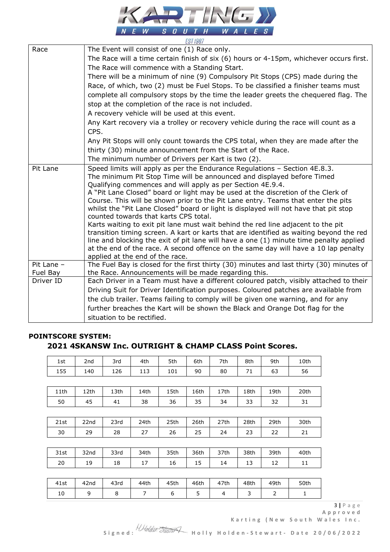

|            | LUI IJUI                                                                                                                                                                  |
|------------|---------------------------------------------------------------------------------------------------------------------------------------------------------------------------|
| Race       | The Event will consist of one (1) Race only.                                                                                                                              |
|            | The Race will a time certain finish of six (6) hours or 4-15pm, whichever occurs first.                                                                                   |
|            | The Race will commence with a Standing Start.                                                                                                                             |
|            | There will be a minimum of nine (9) Compulsory Pit Stops (CPS) made during the                                                                                            |
|            | Race, of which, two (2) must be Fuel Stops. To be classified a finisher teams must                                                                                        |
|            | complete all compulsory stops by the time the leader greets the chequered flag. The                                                                                       |
|            | stop at the completion of the race is not included.                                                                                                                       |
|            | A recovery vehicle will be used at this event.                                                                                                                            |
|            | Any Kart recovery via a trolley or recovery vehicle during the race will count as a                                                                                       |
|            | CPS.                                                                                                                                                                      |
|            | Any Pit Stops will only count towards the CPS total, when they are made after the                                                                                         |
|            | thirty (30) minute announcement from the Start of the Race.                                                                                                               |
|            | The minimum number of Drivers per Kart is two (2).                                                                                                                        |
| Pit Lane   | Speed limits will apply as per the Endurance Regulations - Section 4E.8.3.                                                                                                |
|            | The minimum Pit Stop Time will be announced and displayed before Timed                                                                                                    |
|            | Qualifying commences and will apply as per Section 4E.9.4.                                                                                                                |
|            | A "Pit Lane Closed" board or light may be used at the discretion of the Clerk of                                                                                          |
|            | Course. This will be shown prior to the Pit Lane entry. Teams that enter the pits<br>whilst the "Pit Lane Closed" board or light is displayed will not have that pit stop |
|            | counted towards that karts CPS total.                                                                                                                                     |
|            | Karts waiting to exit pit lane must wait behind the red line adjacent to the pit                                                                                          |
|            | transition timing screen. A kart or karts that are identified as waiting beyond the red                                                                                   |
|            | line and blocking the exit of pit lane will have a one (1) minute time penalty applied                                                                                    |
|            | at the end of the race. A second offence on the same day will have a 10 lap penalty                                                                                       |
|            | applied at the end of the race.                                                                                                                                           |
| Pit Lane - | The Fuel Bay is closed for the first thirty (30) minutes and last thirty (30) minutes of                                                                                  |
| Fuel Bay   | the Race. Announcements will be made regarding this.                                                                                                                      |
| Driver ID  | Each Driver in a Team must have a different coloured patch, visibly attached to their                                                                                     |
|            | Driving Suit for Driver Identification purposes. Coloured patches are available from                                                                                      |
|            | the club trailer. Teams failing to comply will be given one warning, and for any                                                                                          |
|            | further breaches the Kart will be shown the Black and Orange Dot flag for the                                                                                             |
|            | situation to be rectified.                                                                                                                                                |

## **POINTSCORE SYSTEM: 2021 4SKANSW Inc. OUTRIGHT & CHAMP CLASS Point Scores.**

| 1st  | 2nd  | 3rd  | 4th  | 5th  | 6th  | 7th            | 8th  | 9th  | 10th |
|------|------|------|------|------|------|----------------|------|------|------|
| 155  | 140  | 126  | 113  | 101  | 90   | 80             | 71   | 63   | 56   |
|      |      |      |      |      |      |                |      |      |      |
| 11th | 12th | 13th | 14th | 15th | 16th | 17th           | 18th | 19th | 20th |
| 50   | 45   | 41   | 38   | 36   | 35   | 34             | 33   | 32   | 31   |
|      |      |      |      |      |      |                |      |      |      |
| 21st | 22nd | 23rd | 24th | 25th | 26th | 27th           | 28th | 29th | 30th |
| 30   | 29   | 28   | 27   | 26   | 25   | 24             | 23   | 22   | 21   |
|      |      |      |      |      |      |                |      |      |      |
| 31st | 32nd | 33rd | 34th | 35th | 36th | 37th           | 38th | 39th | 40th |
| 20   | 19   | 18   | 17   | 16   | 15   | 14             | 13   | 12   | 11   |
|      |      |      |      |      |      |                |      |      |      |
| 41st | 42nd | 43rd | 44th | 45th | 46th | 47th           | 48th | 49th | 50th |
| 10   | 9    | 8    | 7    | 6    | 5    | $\overline{4}$ | 3    | 2    | 1    |

3 **|** P a g e

Karting (New South Wales Inc.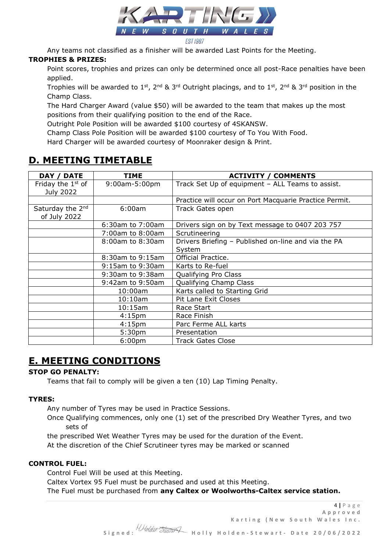

Any teams not classified as a finisher will be awarded Last Points for the Meeting. **TROPHIES & PRIZES:**

Point scores, trophies and prizes can only be determined once all post-Race penalties have been applied.

Trophies will be awarded to 1<sup>st</sup>, 2<sup>nd</sup> & 3<sup>rd</sup> Outright placings, and to 1<sup>st</sup>, 2<sup>nd</sup> & 3<sup>rd</sup> position in the Champ Class.

The Hard Charger Award (value \$50) will be awarded to the team that makes up the most positions from their qualifying position to the end of the Race.

Outright Pole Position will be awarded \$100 courtesy of 4SKANSW.

Champ Class Pole Position will be awarded \$100 courtesy of To You With Food.

Hard Charger will be awarded courtesy of Moonraker design & Print.

# **D. MEETING TIMETABLE**

| <b>DATE</b><br>DAY /                         | TIME               | <b>ACTIVITY / COMMENTS</b>                             |
|----------------------------------------------|--------------------|--------------------------------------------------------|
| Friday the 1 <sup>st</sup> of<br>July 2022   | 9:00am-5:00pm      | Track Set Up of equipment - ALL Teams to assist.       |
|                                              |                    | Practice will occur on Port Macquarie Practice Permit. |
| Saturday the 2 <sup>nd</sup><br>of July 2022 | 6:00am             | Track Gates open                                       |
|                                              | 6:30am to 7:00am   | Drivers sign on by Text message to 0407 203 757        |
|                                              | 7:00am to 8:00am   | Scrutineering                                          |
|                                              | 8:00am to 8:30am   | Drivers Briefing – Published on-line and via the PA    |
|                                              |                    | System                                                 |
|                                              | 8:30am to 9:15am   | Official Practice.                                     |
|                                              | 9:15am to 9:30am   | Karts to Re-fuel                                       |
|                                              | 9:30am to 9:38am   | Qualifying Pro Class                                   |
|                                              | 9:42am to 9:50am   | Qualifying Champ Class                                 |
|                                              | 10:00am            | Karts called to Starting Grid                          |
|                                              | $10:10$ am         | Pit Lane Exit Closes                                   |
|                                              | 10:15am            | Race Start                                             |
|                                              | 4:15 <sub>pm</sub> | Race Finish                                            |
|                                              | 4:15 <sub>pm</sub> | Parc Ferme ALL karts                                   |
|                                              | 5:30 <sub>pm</sub> | Presentation                                           |
|                                              | 6:00 <sub>pm</sub> | <b>Track Gates Close</b>                               |

# **E. MEETING CONDITIONS**

## **STOP GO PENALTY:**

Teams that fail to comply will be given a ten (10) Lap Timing Penalty.

## **TYRES:**

Any number of Tyres may be used in Practice Sessions.

Once Qualifying commences, only one (1) set of the prescribed Dry Weather Tyres, and two sets of

the prescribed Wet Weather Tyres may be used for the duration of the Event.

At the discretion of the Chief Scrutineer tyres may be marked or scanned

## **CONTROL FUEL:**

Control Fuel Will be used at this Meeting.

Caltex Vortex 95 Fuel must be purchased and used at this Meeting.

The Fuel must be purchased from **any Caltex or Woolworths-Caltex service station.**

4 **|** P a g e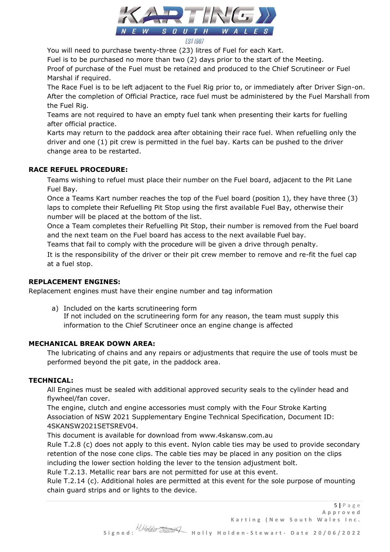

You will need to purchase twenty-three (23) litres of Fuel for each Kart.

Fuel is to be purchased no more than two (2) days prior to the start of the Meeting.

Proof of purchase of the Fuel must be retained and produced to the Chief Scrutineer or Fuel Marshal if required.

The Race Fuel is to be left adjacent to the Fuel Rig prior to, or immediately after Driver Sign-on. After the completion of Official Practice, race fuel must be administered by the Fuel Marshall from the Fuel Rig.

Teams are not required to have an empty fuel tank when presenting their karts for fuelling after official practice.

Karts may return to the paddock area after obtaining their race fuel. When refuelling only the driver and one (1) pit crew is permitted in the fuel bay. Karts can be pushed to the driver change area to be restarted.

## **RACE REFUEL PROCEDURE:**

Teams wishing to refuel must place their number on the Fuel board, adjacent to the Pit Lane Fuel Bay.

Once a Teams Kart number reaches the top of the Fuel board (position 1), they have three (3) laps to complete their Refuelling Pit Stop using the first available Fuel Bay, otherwise their number will be placed at the bottom of the list.

Once a Team completes their Refuelling Pit Stop, their number is removed from the Fuel board and the next team on the Fuel board has access to the next available Fuel bay.

Teams that fail to comply with the procedure will be given a drive through penalty.

It is the responsibility of the driver or their pit crew member to remove and re-fit the fuel cap at a fuel stop.

## **REPLACEMENT ENGINES:**

Replacement engines must have their engine number and tag information

a) Included on the karts scrutineering form If not included on the scrutineering form for any reason, the team must supply this information to the Chief Scrutineer once an engine change is affected

## **MECHANICAL BREAK DOWN AREA:**

The lubricating of chains and any repairs or adjustments that require the use of tools must be performed beyond the pit gate, in the paddock area.

## **TECHNICAL:**

All Engines must be sealed with additional approved security seals to the cylinder head and flywheel/fan cover.

The engine, clutch and engine accessories must comply with the Four Stroke Karting Association of NSW 2021 Supplementary Engine Technical Specification, Document ID: 4SKANSW2021SETSREV04.

This document is available for download from www.4skansw.com.au

Rule T.2.8 (c) does not apply to this event. Nylon cable ties may be used to provide secondary retention of the nose cone clips. The cable ties may be placed in any position on the clips including the lower section holding the lever to the tension adjustment bolt.

Rule T.2.13. Metallic rear bars are not permitted for use at this event.

Rule T.2.14 (c). Additional holes are permitted at this event for the sole purpose of mounting chain guard strips and or lights to the device.

5 **|** P a g e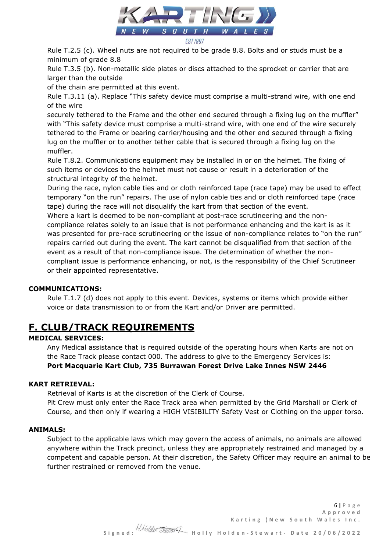

Rule T.2.5 (c). Wheel nuts are not required to be grade 8.8. Bolts and or studs must be a minimum of grade 8.8

Rule T.3.5 (b). Non-metallic side plates or discs attached to the sprocket or carrier that are larger than the outside

of the chain are permitted at this event.

Rule T.3.11 (a). Replace "This safety device must comprise a multi-strand wire, with one end of the wire

securely tethered to the Frame and the other end secured through a fixing lug on the muffler" with "This safety device must comprise a multi-strand wire, with one end of the wire securely tethered to the Frame or bearing carrier/housing and the other end secured through a fixing lug on the muffler or to another tether cable that is secured through a fixing lug on the muffler.

Rule T.8.2. Communications equipment may be installed in or on the helmet. The fixing of such items or devices to the helmet must not cause or result in a deterioration of the structural integrity of the helmet.

During the race, nylon cable ties and or cloth reinforced tape (race tape) may be used to effect temporary "on the run" repairs. The use of nylon cable ties and or cloth reinforced tape (race tape) during the race will not disqualify the kart from that section of the event.

Where a kart is deemed to be non-compliant at post-race scrutineering and the noncompliance relates solely to an issue that is not performance enhancing and the kart is as it was presented for pre-race scrutineering or the issue of non-compliance relates to "on the run" repairs carried out during the event. The kart cannot be disqualified from that section of the event as a result of that non-compliance issue. The determination of whether the noncompliant issue is performance enhancing, or not, is the responsibility of the Chief Scrutineer or their appointed representative.

## **COMMUNICATIONS:**

Rule T.1.7 (d) does not apply to this event. Devices, systems or items which provide either voice or data transmission to or from the Kart and/or Driver are permitted.

# **F. CLUB/TRACK REQUIREMENTS**

## **MEDICAL SERVICES:**

Any Medical assistance that is required outside of the operating hours when Karts are not on the Race Track please contact 000. The address to give to the Emergency Services is: **Port Macquarie Kart Club, 735 Burrawan Forest Drive Lake Innes NSW 2446**

## **KART RETRIEVAL:**

Retrieval of Karts is at the discretion of the Clerk of Course.

Pit Crew must only enter the Race Track area when permitted by the Grid Marshall or Clerk of Course, and then only if wearing a HIGH VISIBILITY Safety Vest or Clothing on the upper torso.

#### **ANIMALS:**

Subject to the applicable laws which may govern the access of animals, no animals are allowed anywhere within the Track precinct, unless they are appropriately restrained and managed by a competent and capable person. At their discretion, the Safety Officer may require an animal to be further restrained or removed from the venue.